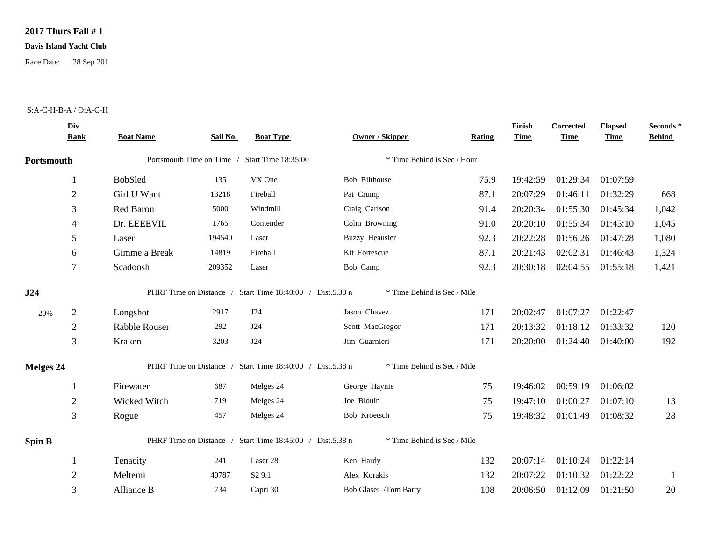## **2017 Thurs Fall # 1**

## **Davis Island Yacht Club**

Race Date: 28 Sep 201

## S:A-C-H-B-A / O:A-C-H

|                  | Div<br><b>Rank</b> | <b>Boat Name</b>     | Sail No. | <b>Boat Type</b>                                          | <b>Owner / Skipper</b>      | Rating | Finish<br><b>Time</b> | <b>Corrected</b><br><b>Time</b> | <b>Elapsed</b><br><b>Time</b> | Seconds *<br><b>Behind</b> |
|------------------|--------------------|----------------------|----------|-----------------------------------------------------------|-----------------------------|--------|-----------------------|---------------------------------|-------------------------------|----------------------------|
| Portsmouth       |                    |                      |          | Portsmouth Time on Time / Start Time 18:35:00             | * Time Behind is Sec / Hour |        |                       |                                 |                               |                            |
|                  | 1                  | BobSled              | 135      | VX One                                                    | Bob Bilthouse               | 75.9   | 19:42:59              | 01:29:34                        | 01:07:59                      |                            |
|                  | $\overline{2}$     | Girl U Want          | 13218    | Fireball                                                  | Pat Crump                   | 87.1   | 20:07:29              | 01:46:11                        | 01:32:29                      | 668                        |
|                  | 3                  | Red Baron            | 5000     | Windmill                                                  | Craig Carlson               | 91.4   | 20:20:34              | 01:55:30                        | 01:45:34                      | 1,042                      |
|                  | 4                  | Dr. EEEEVIL          | 1765     | Contender                                                 | Colin Browning              | 91.0   | 20:20:10              | 01:55:34                        | 01:45:10                      | 1,045                      |
|                  | 5                  | Laser                | 194540   | Laser                                                     | <b>Buzzy Heausler</b>       | 92.3   | 20:22:28              | 01:56:26                        | 01:47:28                      | 1,080                      |
|                  | 6                  | Gimme a Break        | 14819    | Fireball                                                  | Kit Fortescue               | 87.1   | 20:21:43              | 02:02:31                        | 01:46:43                      | 1,324                      |
|                  | 7                  | Scadoosh             | 209352   | Laser                                                     | Bob Camp                    | 92.3   | 20:30:18              | 02:04:55                        | 01:55:18                      | 1,421                      |
| J24              |                    |                      |          | PHRF Time on Distance / Start Time 18:40:00 / Dist.5.38 n | * Time Behind is Sec / Mile |        |                       |                                 |                               |                            |
| 20%              | $\sqrt{2}$         | Longshot             | 2917     | J24                                                       | Jason Chavez                | 171    | 20:02:47              | 01:07:27                        | 01:22:47                      |                            |
|                  | $\overline{2}$     | <b>Rabble Rouser</b> | 292      | J24                                                       | Scott MacGregor             | 171    | 20:13:32              | 01:18:12                        | 01:33:32                      | 120                        |
|                  | 3                  | Kraken               | 3203     | J24                                                       | Jim Guarnieri               | 171    | 20:20:00              | 01:24:40                        | 01:40:00                      | 192                        |
| <b>Melges 24</b> |                    |                      |          | PHRF Time on Distance / Start Time 18:40:00 / Dist.5.38 n | * Time Behind is Sec / Mile |        |                       |                                 |                               |                            |
|                  | -1                 | Firewater            | 687      | Melges 24                                                 | George Haynie               | 75     | 19:46:02              | 00:59:19                        | 01:06:02                      |                            |
|                  | $\overline{2}$     | Wicked Witch         | 719      | Melges 24                                                 | Joe Blouin                  | 75     | 19:47:10              | 01:00:27                        | 01:07:10                      | 13                         |
|                  | 3                  | Rogue                | 457      | Melges 24                                                 | Bob Kroetsch                | 75     | 19:48:32              | 01:01:49                        | 01:08:32                      | 28                         |
| Spin B           |                    |                      |          | PHRF Time on Distance / Start Time 18:45:00 / Dist.5.38 n | * Time Behind is Sec / Mile |        |                       |                                 |                               |                            |
|                  | 1                  | Tenacity             | 241      | Laser 28                                                  | Ken Hardy                   | 132    | 20:07:14              | 01:10:24                        | 01:22:14                      |                            |
|                  | $\overline{2}$     | Meltemi              | 40787    | S <sub>2</sub> 9.1                                        | Alex Korakis                | 132    | 20:07:22              | 01:10:32                        | 01:22:22                      | -1                         |
|                  | 3                  | Alliance B           | 734      | Capri 30                                                  | Bob Glaser /Tom Barry       | 108    | 20:06:50              | 01:12:09                        | 01:21:50                      | 20                         |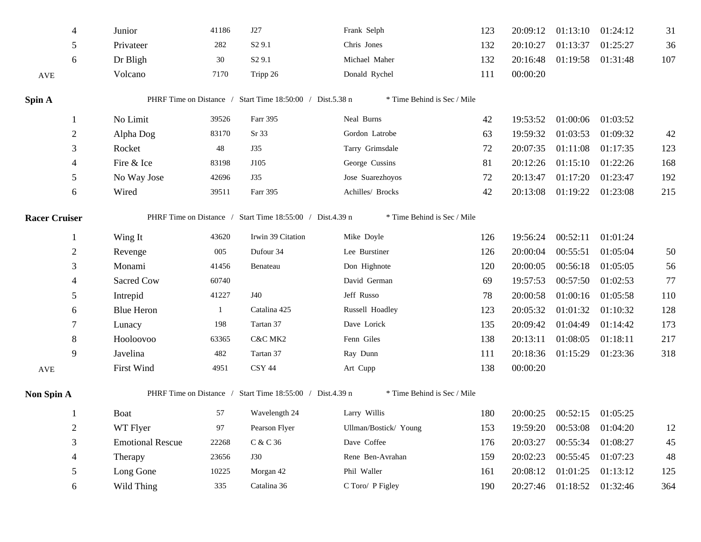| 4                    | Junior                  | 41186 | J27                                                       | Frank Selph                 | 123 | 20:09:12 | 01:13:10                   | 01:24:12          | 31  |
|----------------------|-------------------------|-------|-----------------------------------------------------------|-----------------------------|-----|----------|----------------------------|-------------------|-----|
| 5                    | Privateer               | 282   | S <sub>2</sub> 9.1                                        | Chris Jones                 | 132 | 20:10:27 | 01:13:37                   | 01:25:27          | 36  |
| 6                    | Dr Bligh                | 30    | S <sub>2</sub> 9.1                                        | Michael Maher               | 132 | 20:16:48 | 01:19:58 01:31:48          |                   | 107 |
| AVE                  | Volcano                 | 7170  | Tripp 26                                                  | Donald Rychel               | 111 | 00:00:20 |                            |                   |     |
| Spin A               |                         |       | PHRF Time on Distance / Start Time 18:50:00 / Dist.5.38 n | * Time Behind is Sec / Mile |     |          |                            |                   |     |
| 1                    | No Limit                | 39526 | Farr 395                                                  | Neal Burns                  | 42  | 19:53:52 | 01:00:06                   | 01:03:52          |     |
| $\overline{2}$       | Alpha Dog               | 83170 | Sr 33                                                     | Gordon Latrobe              | 63  | 19:59:32 | 01:03:53                   | 01:09:32          | 42  |
| 3                    | Rocket                  | 48    | <b>J35</b>                                                | Tarry Grimsdale             | 72  | 20:07:35 | 01:11:08                   | 01:17:35          | 123 |
| 4                    | Fire & Ice              | 83198 | J105                                                      | George Cussins              | 81  | 20:12:26 | 01:15:10                   | 01:22:26          | 168 |
| 5                    | No Way Jose             | 42696 | J35                                                       | Jose Suarezhoyos            | 72  | 20:13:47 | 01:17:20                   | 01:23:47          | 192 |
| 6                    | Wired                   | 39511 | Farr 395                                                  | Achilles/ Brocks            | 42  | 20:13:08 | 01:19:22                   | 01:23:08          | 215 |
| <b>Racer Cruiser</b> |                         |       | PHRF Time on Distance / Start Time 18:55:00 / Dist.4.39 n | * Time Behind is Sec / Mile |     |          |                            |                   |     |
|                      |                         |       |                                                           |                             |     |          |                            |                   |     |
| 1                    | Wing It                 | 43620 | Irwin 39 Citation                                         | Mike Doyle                  | 126 | 19:56:24 | 00:52:11                   | 01:01:24          |     |
| $\overline{c}$       | Revenge                 | 005   | Dufour 34                                                 | Lee Burstiner               | 126 | 20:00:04 | 00:55:51                   | 01:05:04          | 50  |
| 3                    | Monami                  | 41456 | Benateau                                                  | Don Highnote                | 120 | 20:00:05 | 00:56:18                   | 01:05:05          | 56  |
| 4                    | Sacred Cow              | 60740 |                                                           | David German                | 69  | 19:57:53 | 00:57:50                   | 01:02:53          | 77  |
| 5                    | Intrepid                | 41227 | J40                                                       | Jeff Russo                  | 78  | 20:00:58 | 01:00:16                   | 01:05:58          | 110 |
| 6                    | <b>Blue Heron</b>       | -1    | Catalina 425                                              | Russell Hoadley             | 123 | 20:05:32 | 01:01:32                   | 01:10:32          | 128 |
| 7                    | Lunacy                  | 198   | Tartan 37                                                 | Dave Lorick                 | 135 | 20:09:42 | 01:04:49                   | 01:14:42          | 173 |
| 8                    | Hooloovoo               | 63365 | C&C MK2                                                   | Fenn Giles                  | 138 | 20:13:11 | 01:08:05                   | 01:18:11          | 217 |
| 9                    | Javelina                | 482   | Tartan 37                                                 | Ray Dunn                    | 111 | 20:18:36 | 01:15:29                   | 01:23:36          | 318 |
| AVE                  | First Wind              | 4951  | <b>CSY 44</b>                                             | Art Cupp                    | 138 | 00:00:20 |                            |                   |     |
| <b>Non Spin A</b>    |                         |       | PHRF Time on Distance / Start Time 18:55:00 / Dist.4.39 n | * Time Behind is Sec / Mile |     |          |                            |                   |     |
| 1                    | <b>Boat</b>             | 57    | Wavelength 24                                             | Larry Willis                | 180 |          | 20:00:25 00:52:15 01:05:25 |                   |     |
| $\sqrt{2}$           | WT Flyer                | 97    | Pearson Flyer                                             | Ullman/Bostick/ Young       | 153 | 19:59:20 | 00:53:08                   | 01:04:20          | 12  |
| 3                    | <b>Emotional Rescue</b> | 22268 | C & C 36                                                  | Dave Coffee                 | 176 | 20:03:27 | 00:55:34                   | 01:08:27          | 45  |
| 4                    | Therapy                 | 23656 | <b>J30</b>                                                | Rene Ben-Avrahan            | 159 | 20:02:23 | 00:55:45                   | 01:07:23          | 48  |
| 5                    | Long Gone               | 10225 | Morgan 42                                                 | Phil Waller                 | 161 | 20:08:12 | 01:01:25                   | 01:13:12          | 125 |
| 6                    | Wild Thing              | 335   | Catalina 36                                               | C Toro/ P Figley            | 190 | 20:27:46 |                            | 01:18:52 01:32:46 | 364 |
|                      |                         |       |                                                           |                             |     |          |                            |                   |     |